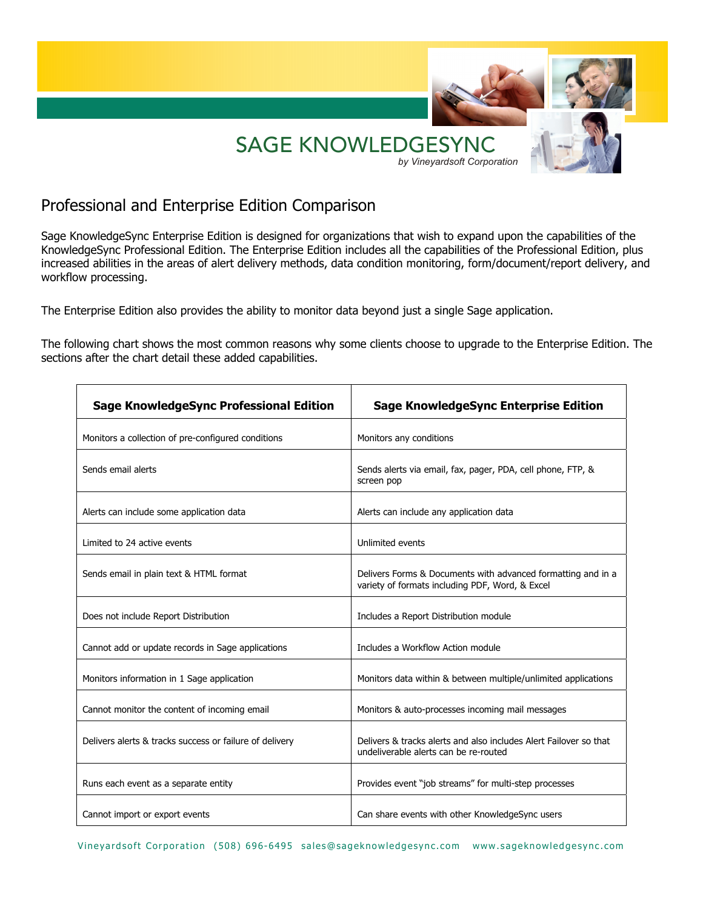

# Professional and Enterprise Edition Comparison

Sage KnowledgeSync Enterprise Edition is designed for organizations that wish to expand upon the capabilities of the KnowledgeSync Professional Edition. The Enterprise Edition includes all the capabilities of the Professional Edition, plus increased abilities in the areas of alert delivery methods, data condition monitoring, form/document/report delivery, and workflow processing.

The Enterprise Edition also provides the ability to monitor data beyond just a single Sage application.

The following chart shows the most common reasons why some clients choose to upgrade to the Enterprise Edition. The sections after the chart detail these added capabilities.

| <b>Sage KnowledgeSync Professional Edition</b>          | <b>Sage KnowledgeSync Enterprise Edition</b>                                                                    |
|---------------------------------------------------------|-----------------------------------------------------------------------------------------------------------------|
| Monitors a collection of pre-configured conditions      | Monitors any conditions                                                                                         |
| Sends email alerts                                      | Sends alerts via email, fax, pager, PDA, cell phone, FTP, &<br>screen pop                                       |
| Alerts can include some application data                | Alerts can include any application data                                                                         |
| Limited to 24 active events                             | Unlimited events                                                                                                |
| Sends email in plain text & HTML format                 | Delivers Forms & Documents with advanced formatting and in a<br>variety of formats including PDF, Word, & Excel |
| Does not include Report Distribution                    | Includes a Report Distribution module                                                                           |
| Cannot add or update records in Sage applications       | Includes a Workflow Action module                                                                               |
| Monitors information in 1 Sage application              | Monitors data within & between multiple/unlimited applications                                                  |
| Cannot monitor the content of incoming email            | Monitors & auto-processes incoming mail messages                                                                |
| Delivers alerts & tracks success or failure of delivery | Delivers & tracks alerts and also includes Alert Failover so that<br>undeliverable alerts can be re-routed      |
| Runs each event as a separate entity                    | Provides event "job streams" for multi-step processes                                                           |
| Cannot import or export events                          | Can share events with other KnowledgeSync users                                                                 |

Vineyardsoft Corporation (508) 696-6495 sales@sageknowledgesync.com www.sageknowledgesync.com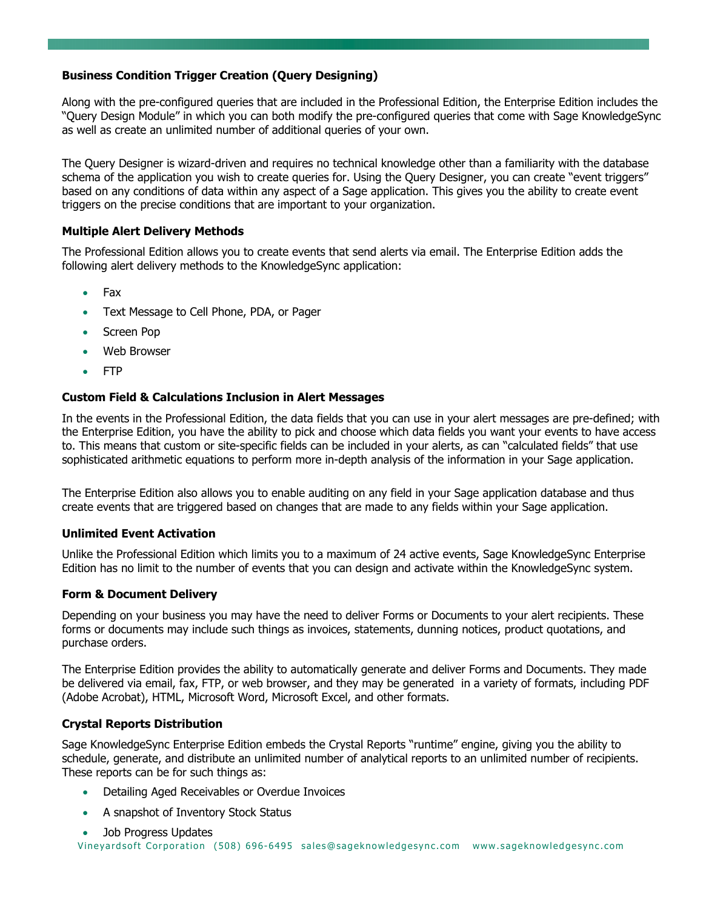# **Business Condition Trigger Creation (Query Designing)**

Along with the pre-configured queries that are included in the Professional Edition, the Enterprise Edition includes the "Query Design Module" in which you can both modify the pre-configured queries that come with Sage KnowledgeSync as well as create an unlimited number of additional queries of your own.

The Query Designer is wizard-driven and requires no technical knowledge other than a familiarity with the database schema of the application you wish to create queries for. Using the Query Designer, you can create "event triggers" based on any conditions of data within any aspect of a Sage application. This gives you the ability to create event triggers on the precise conditions that are important to your organization.

## **Multiple Alert Delivery Methods**

The Professional Edition allows you to create events that send alerts via email. The Enterprise Edition adds the following alert delivery methods to the KnowledgeSync application:

- Fax
- Text Message to Cell Phone, PDA, or Pager
- Screen Pop
- Web Browser
- FTP

## **Custom Field & Calculations Inclusion in Alert Messages**

In the events in the Professional Edition, the data fields that you can use in your alert messages are pre-defined; with the Enterprise Edition, you have the ability to pick and choose which data fields you want your events to have access to. This means that custom or site-specific fields can be included in your alerts, as can "calculated fields" that use sophisticated arithmetic equations to perform more in-depth analysis of the information in your Sage application.

The Enterprise Edition also allows you to enable auditing on any field in your Sage application database and thus create events that are triggered based on changes that are made to any fields within your Sage application.

## **Unlimited Event Activation**

Unlike the Professional Edition which limits you to a maximum of 24 active events, Sage KnowledgeSync Enterprise Edition has no limit to the number of events that you can design and activate within the KnowledgeSync system.

## **Form & Document Delivery**

Depending on your business you may have the need to deliver Forms or Documents to your alert recipients. These forms or documents may include such things as invoices, statements, dunning notices, product quotations, and purchase orders.

The Enterprise Edition provides the ability to automatically generate and deliver Forms and Documents. They made be delivered via email, fax, FTP, or web browser, and they may be generated in a variety of formats, including PDF (Adobe Acrobat), HTML, Microsoft Word, Microsoft Excel, and other formats.

## **Crystal Reports Distribution**

Sage KnowledgeSync Enterprise Edition embeds the Crystal Reports "runtime" engine, giving you the ability to schedule, generate, and distribute an unlimited number of analytical reports to an unlimited number of recipients. These reports can be for such things as:

- Detailing Aged Receivables or Overdue Invoices
- A snapshot of Inventory Stock Status

```
Vineyardsoft Corporation (508) 696-6495 sales@sageknowledgesync.com www.sageknowledgesync.com
• Job Progress Updates
```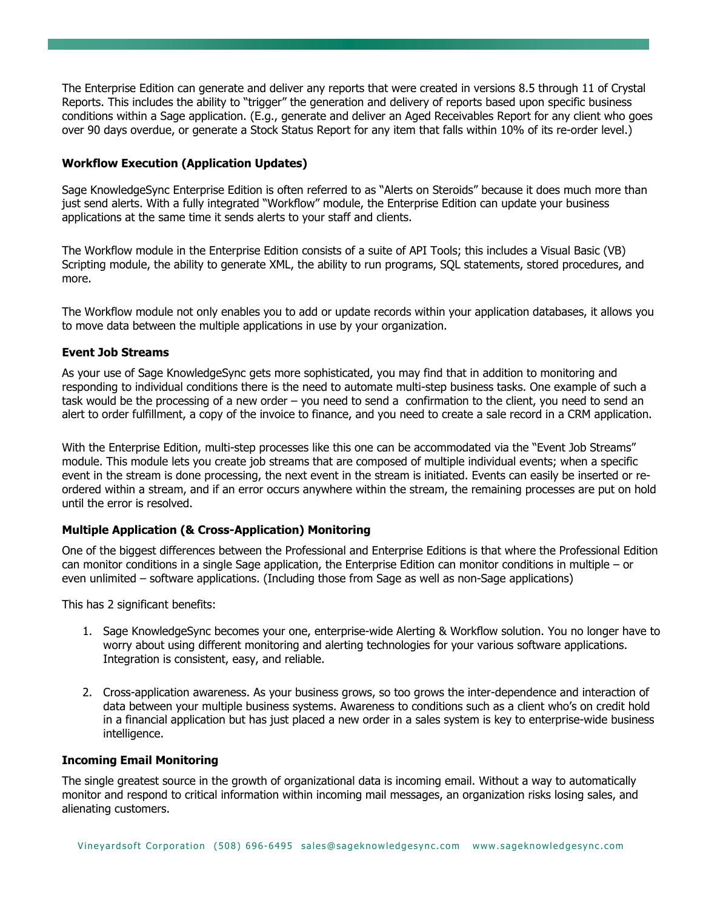The Enterprise Edition can generate and deliver any reports that were created in versions 8.5 through 11 of Crystal Reports. This includes the ability to "trigger" the generation and delivery of reports based upon specific business conditions within a Sage application. (E.g., generate and deliver an Aged Receivables Report for any client who goes over 90 days overdue, or generate a Stock Status Report for any item that falls within 10% of its re-order level.)

#### **Workflow Execution (Application Updates)**

Sage KnowledgeSync Enterprise Edition is often referred to as "Alerts on Steroids" because it does much more than just send alerts. With a fully integrated "Workflow" module, the Enterprise Edition can update your business applications at the same time it sends alerts to your staff and clients.

The Workflow module in the Enterprise Edition consists of a suite of API Tools; this includes a Visual Basic (VB) Scripting module, the ability to generate XML, the ability to run programs, SQL statements, stored procedures, and more.

The Workflow module not only enables you to add or update records within your application databases, it allows you to move data between the multiple applications in use by your organization.

#### **Event Job Streams**

As your use of Sage KnowledgeSync gets more sophisticated, you may find that in addition to monitoring and responding to individual conditions there is the need to automate multi-step business tasks. One example of such a task would be the processing of a new order – you need to send a confirmation to the client, you need to send an alert to order fulfillment, a copy of the invoice to finance, and you need to create a sale record in a CRM application.

With the Enterprise Edition, multi-step processes like this one can be accommodated via the "Event Job Streams" module. This module lets you create job streams that are composed of multiple individual events; when a specific event in the stream is done processing, the next event in the stream is initiated. Events can easily be inserted or reordered within a stream, and if an error occurs anywhere within the stream, the remaining processes are put on hold until the error is resolved.

## **Multiple Application (& Cross-Application) Monitoring**

One of the biggest differences between the Professional and Enterprise Editions is that where the Professional Edition can monitor conditions in a single Sage application, the Enterprise Edition can monitor conditions in multiple – or even unlimited – software applications. (Including those from Sage as well as non-Sage applications)

This has 2 significant benefits:

- 1. Sage KnowledgeSync becomes your one, enterprise-wide Alerting & Workflow solution. You no longer have to worry about using different monitoring and alerting technologies for your various software applications. Integration is consistent, easy, and reliable.
- 2. Cross-application awareness. As your business grows, so too grows the inter-dependence and interaction of data between your multiple business systems. Awareness to conditions such as a client who's on credit hold in a financial application but has just placed a new order in a sales system is key to enterprise-wide business intelligence.

#### **Incoming Email Monitoring**

The single greatest source in the growth of organizational data is incoming email. Without a way to automatically monitor and respond to critical information within incoming mail messages, an organization risks losing sales, and alienating customers.